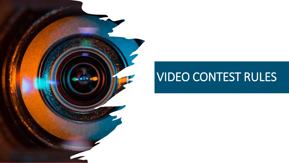## VIDEO CONTEST RULES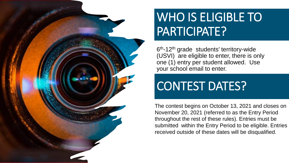

## WHO IS ELIGIBLE TO PARTICIPATE?

6<sup>th</sup>-12<sup>th</sup> grade students' territory-wide (USVI) are eligible to enter, there is only one (1) entry per student allowed. Use your school email to enter.

## CONTEST DATES?

The contest begins on October 13, 2021 and closes on November 20, 2021 (referred to as the Entry Period throughout the rest of these rules). Entries must be submitted within the Entry Period to be eligible. Entries received outside of these dates will be disqualified.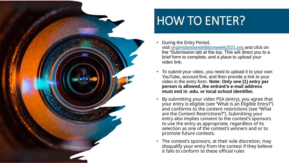

# HOW TO ENTER?

- During the Entry Period, visit [virginislandsredribbonweek2021.org](http://virginislandsredribbonweek2021.org/) and click on the "Submission tab at the top. This will direct you to a brief form to complete, and a place to upload your video link.
- To submit your video, you need to upload it to your own YouTube, account first, and then provide a link to your video in the entry form. **Note: Only one (1) entry per person is allowed, the entrant's e-mail address must end in .edu. or local school identifier.**
- By submitting your video PSA (entry), you agree that your entry is eligible (see "What is an Eligible Entry?") and conforms to the content restrictions (see "What are the Content Restrictions?"). Submitting your entry also implies consent to the contest's sponsors to use the entry as appropriate, regardless of its selection as one of the contest's winners and or to promote future contests.
- The contest's sponsors, at their sole discretion, may disqualify your entry from the contest if they believe it fails to conform to these official rules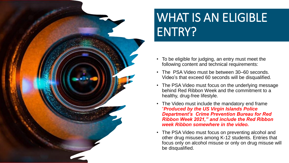

# WHAT IS AN ELIGIBLE ENTRY?

- To be eligible for judging, an entry must meet the following content and technical requirements:
- The PSA Video must be between 30–60 seconds. Video's that exceed 60 seconds will be disqualified.
- The PSA Video must focus on the underlying message behind Red Ribbon Week and the commitment to a healthy, drug-free lifestyle.
- The Video must include the mandatory end frame "*Produced by the US Virgin Islands Police Department's Crime Prevention Bureau for Red Ribbon Week 2021," and include the Red Ribbon week Ribbon somewhere in the video.*
- The PSA Video must focus on preventing alcohol and other drug misuses among K-12 students. Entries that focus only on alcohol misuse or only on drug misuse will be disqualified.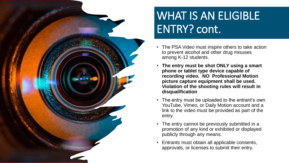

### WHAT IS AN ELIGIBLE ENTRY? cont.

- The PSA Video must inspire others to take action to prevent alcohol and other drug misuses among K-12 students.
- **The entry must be shot ONLY using a smart phone or tablet type device capable of recording video. NO Professional Motion picture capture equipment shall be used. Violation of the shooting rules will result in disqualification**
- The entry must be uploaded to the entrant's own YouTube, Vimeo, or Daily Motion account and a link to the video must be provided as part of the entry.
- The entry cannot be previously submitted in a promotion of any kind or exhibited or displayed publicly through any means.
- Entrants must obtain all applicable consents, approvals, or licenses to submit their entry.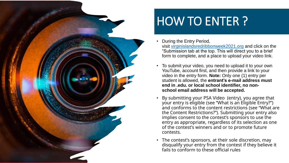

# HOW TO ENTER ?

- During the Entry Period, visit [virginislandsredribbonweek2021.org](http://virginislandsredribbonweek2021.org/) and click on the "Submission tab at the top. This will direct you to a brief form to complete, and a place to upload your video link.
- To submit your video, you need to upload it to your own YouTube, account first, and then provide a link to your video in the entry form. **Note:** Only one (1) entry per student is allowed, the **entrant's e-mail address must end in .edu. or local school identifier, no nonschool email address will be accepted.**
- By submitting your PSA Video (entry), you agree that your entry is eligible (see "What is an Eligible Entry?") and conforms to the content restrictions (see "What are the Content Restrictions?"). Submitting your entry also implies consent to the contest's sponsors to use the entry as appropriate, regardless of its selection as one of the contest's winners and or to promote future contests.
- The contest's sponsors, at their sole discretion, may disqualify your entry from the contest if they believe it fails to conform to these official rules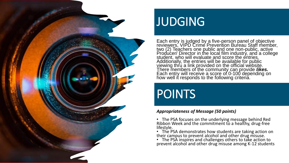

### JUDGING

Each entry is judged by a five-person panel of objective reviewers, VIPD Crime Prevention Bureau Staff member, two (2) Teachers one public and one non-public, active Producer/ Director in the local film industry, and a college student, who will evaluate and score the entries. Additionally, the entries will be available for public viewing thru a link provided on the official website. There members of the community can provide *likes.* Each entry will receive a score of 0-100 depending on how well it responds to the following criteria.

## POINTS

#### *Appropriateness of Message (50 points)*

• The PSA focuses on the underlying message behind Red Ribbon Week and the commitment to a healthy, drug-free lifestyle.

• The PSA demonstrates how students are taking action on their campus to prevent alcohol and other drug misuse.

• The PSA inspires and challenges others to take action to prevent alcohol and other drug misuse among K-12 students